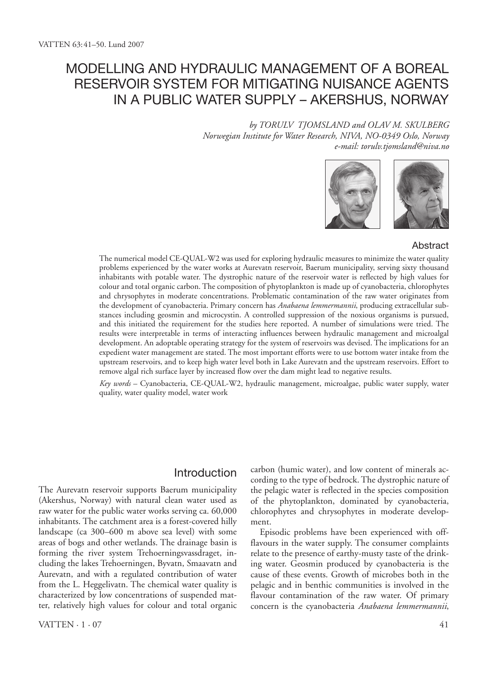# Modelling and hydraulic management of a boreal reservoir system for mitigating nuisance agents in a public water supply – Akershus, Norway

*by Torulv Tjomsland and Olav M. Skulberg Norwegian Institute for Water Research, NIVA, NO-0349 Oslo, Norway e-mail: torulv.tjomsland@niva.no*



#### Abstract

The numerical model CE-QUAL-W2 was used for exploring hydraulic measures to minimize the water quality problems experienced by the water works at Aurevatn reservoir, Baerum municipality, serving sixty thousand inhabitants with potable water. The dystrophic nature of the reservoir water is reflected by high values for colour and total organic carbon. The composition of phytoplankton is made up of cyanobacteria, chlorophytes and chrysophytes in moderate concentrations. Problematic contamination of the raw water originates from the development of cyanobacteria. Primary concern has *Anabaena lemmermannii*, producing extracellular substances including geosmin and microcystin. A controlled suppression of the noxious organisms is pursued, and this initiated the requirement for the studies here reported. A number of simulations were tried. The results were interpretable in terms of interacting influences between hydraulic management and microalgal development. An adoptable operating strategy for the system of reservoirs was devised. The implications for an expedient water management are stated. The most important efforts were to use bottom water intake from the upstream reservoirs, and to keep high water level both in Lake Aurevatn and the upstream reservoirs. Effort to remove algal rich surface layer by increased flow over the dam might lead to negative results.

*Key words* – Cyanobacteria, CE-QUAL-W2, hydraulic management, microalgae, public water supply, water quality, water quality model, water work

### Introduction

The Aurevatn reservoir supports Baerum municipality (Akershus, Norway) with natural clean water used as raw water for the public water works serving ca. 60,000 inhabitants. The catchment area is a forest-covered hilly landscape (ca 300–600 m above sea level) with some areas of bogs and other wetlands. The drainage basin is forming the river system Trehoerningsvassdraget, including the lakes Trehoerningen, Byvatn, Smaavatn and Aurevatn, and with a regulated contribution of water from the L. Heggelivatn. The chemical water quality is characterized by low concentrations of suspended matter, relatively high values for colour and total organic carbon (humic water), and low content of minerals according to the type of bedrock. The dystrophic nature of the pelagic water is reflected in the species composition of the phytoplankton, dominated by cyanobacteria, chlorophytes and chrysophytes in moderate development.

Episodic problems have been experienced with offflavours in the water supply. The consumer complaints relate to the presence of earthy-musty taste of the drinking water. Geosmin produced by cyanobacteria is the cause of these events. Growth of microbes both in the pelagic and in benthic communities is involved in the flavour contamination of the raw water. Of primary concern is the cyanobacteria *Anabaena lemmermannii*,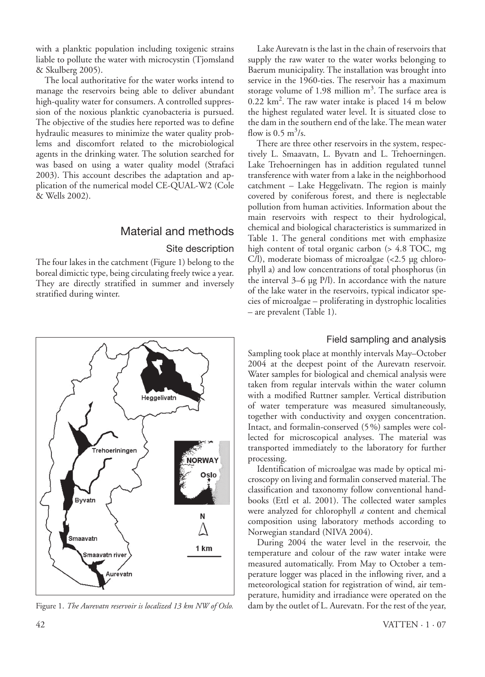with a planktic population including toxigenic strains liable to pollute the water with microcystin (Tjomsland & Skulberg 2005).

The local authoritative for the water works intend to manage the reservoirs being able to deliver abundant high-quality water for consumers. A controlled suppression of the noxious planktic cyanobacteria is pursued. The objective of the studies here reported was to define hydraulic measures to minimize the water quality problems and discomfort related to the microbiological agents in the drinking water. The solution searched for was based on using a water quality model (Strafaci 2003). This account describes the adaptation and application of the numerical model CE-QUAL-W2 (Cole & Wells 2002).

### Material and methods

### Site description

The four lakes in the catchment (Figure 1) belong to the boreal dimictic type, being circulating freely twice a year. They are directly stratified in summer and inversely stratified during winter.



Lake Aurevatn is the last in the chain of reservoirs that supply the raw water to the water works belonging to Baerum municipality. The installation was brought into service in the 1960-ties. The reservoir has a maximum storage volume of 1.98 million  $m^3$ . The surface area is 0.22 km2 . The raw water intake is placed 14 m below the highest regulated water level. It is situated close to the dam in the southern end of the lake. The mean water flow is  $0.5 \text{ m}^3/\text{s}$ .

There are three other reservoirs in the system, respectively L. Smaavatn, L. Byvatn and L. Trehoerningen. Lake Trehoerningen has in addition regulated tunnel transference with water from a lake in the neighborhood catchment – Lake Heggelivatn. The region is mainly covered by coniferous forest, and there is neglectable pollution from human activities. Information about the main reservoirs with respect to their hydrological, chemical and biological characteristics is summarized in Table 1. The general conditions met with emphasize high content of total organic carbon (> 4.8 TOC, mg C/l), moderate biomass of microalgae (<2.5 µg chlorophyll a) and low concentrations of total phosphorus (in the interval 3–6 µg P/l). In accordance with the nature of the lake water in the reservoirs, typical indicator species of microalgae – proliferating in dystrophic localities – are prevalent (Table 1).

### Field sampling and analysis

Sampling took place at monthly intervals May–October 2004 at the deepest point of the Aurevatn reservoir. Water samples for biological and chemical analysis were taken from regular intervals within the water column with a modified Ruttner sampler. Vertical distribution of water temperature was measured simultaneously, together with conductivity and oxygen concentration. Intact, and formalin-conserved (5%) samples were collected for microscopical analyses. The material was transported immediately to the laboratory for further processing.

Identification of microalgae was made by optical microscopy on living and formalin conserved material. The classification and taxonomy follow conventional handbooks (Ettl et al. 2001). The collected water samples were analyzed for chlorophyll *a* content and chemical composition using laboratory methods according to Norwegian standard (NIVA 2004).

During 2004 the water level in the reservoir, the temperature and colour of the raw water intake were measured automatically. From May to October a temperature logger was placed in the inflowing river, and a meteorological station for registration of wind, air temperature, humidity and irradiance were operated on the Figure 1. *The Aurevatn reservoir is localized 13 km NW of Oslo.* dam by the outlet of L. Aurevatn. For the rest of the year,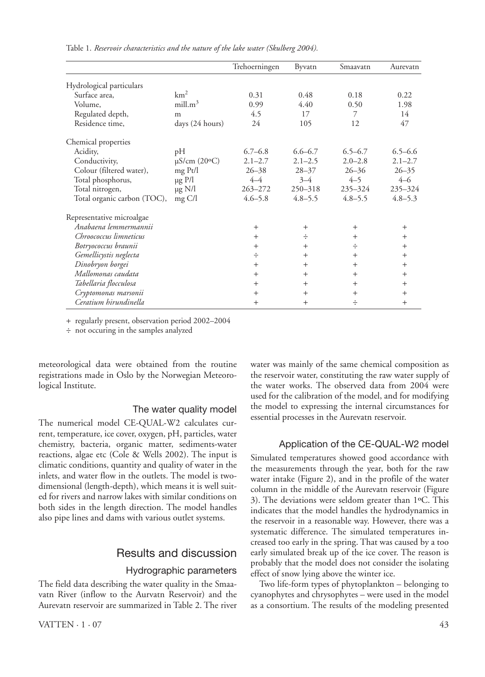|                             |                             | Trehoerningen | Byvatn      | Smaavatn    | Aurevatn    |
|-----------------------------|-----------------------------|---------------|-------------|-------------|-------------|
| Hydrological particulars    |                             |               |             |             |             |
| Surface area,               | km <sup>2</sup>             | 0.31          | 0.48        | 0.18        | 0.22        |
| Volume,                     | mill.m <sup>3</sup>         | 0.99          | 4.40        | 0.50        | 1.98        |
| Regulated depth,            | m                           | 4.5           | 17          | 7           | 14          |
| Residence time,             | days (24 hours)             | 24            | 105         | 12          | 47          |
| Chemical properties         |                             |               |             |             |             |
| Acidity,                    | pH                          | $6.7 - 6.8$   | $6.6 - 6.7$ | $6.5 - 6.7$ | $6.5 - 6.6$ |
| Conductivity,               | $\mu$ S/cm (20 $\degree$ C) | $2.1 - 2.7$   | $2.1 - 2.5$ | $2.0 - 2.8$ | $2.1 - 2.7$ |
| Colour (filtered water),    | mg Pt/l                     | $26 - 38$     | $28 - 37$   | $26 - 36$   | $26 - 35$   |
| Total phosphorus,           | $\mu$ g P/l                 | $4 - 4$       | $3 - 4$     | $4 - 5$     | $4 - 6$     |
| Total nitrogen,             | $\mu$ g N/l                 | $263 - 272$   | $250 - 318$ | 235-324     | 235-324     |
| Total organic carbon (TOC), | $mg \frac{C}{l}$            | $4.6 - 5.8$   | $4.8 - 5.5$ | $4.8 - 5.5$ | $4.8 - 5.3$ |
| Representative microalgae   |                             |               |             |             |             |
| Anabaena lemmermannii       |                             | $+$           | $+$         | $+$         | $+$         |
| Chroococcus limneticus      |                             | $+$           | ÷           | $+$         | $+$         |
| Botryococcus braunii        |                             | $+$           | $^{+}$      | ÷           | $+$         |
| Gemellicystis neglecta      |                             | ÷             | $+$         | $+$         | $+$         |
| Dinobryon borgei            |                             | $+$           | $+$         | $^{+}$      | $+$         |
| Mallomonas caudata          |                             | $+$           | $+$         | $+$         | $+$         |
| Tabellaria flocculosa       |                             | $+$           | $+$         | $+$         | $^{+}$      |
| Cryptomonas marsonii        |                             | $^{+}$        | $^{+}$      | $^{+}$      | $^{+}$      |
| Ceratium hirundinella       |                             | $+$           | $+$         | ÷           | $+$         |

Table 1. *Reservoir characteristics and the nature of the lake water (Skulberg 2004).*

+ regularly present, observation period 2002–2004

÷ not occuring in the samples analyzed

meteorological data were obtained from the routine registrations made in Oslo by the Norwegian Meteorological Institute.

### The water quality model

The numerical model CE-QUAL-W2 calculates current, temperature, ice cover, oxygen, pH, particles, water chemistry, bacteria, organic matter, sediments-water reactions, algae etc (Cole & Wells 2002). The input is climatic conditions, quantity and quality of water in the inlets, and water flow in the outlets. The model is twodimensional (length-depth), which means it is well suited for rivers and narrow lakes with similar conditions on both sides in the length direction. The model handles also pipe lines and dams with various outlet systems.

### Results and discussion

#### Hydrographic parameters

The field data describing the water quality in the Smaavatn River (inflow to the Aurvatn Reservoir) and the Aurevatn reservoir are summarized in Table 2. The river water was mainly of the same chemical composition as the reservoir water, constituting the raw water supply of the water works. The observed data from 2004 were used for the calibration of the model, and for modifying the model to expressing the internal circumstances for essential processes in the Aurevatn reservoir.

### Application of the CE-QUAL-W2 model

Simulated temperatures showed good accordance with the measurements through the year, both for the raw water intake (Figure 2), and in the profile of the water column in the middle of the Aurevatn reservoir (Figure 3). The deviations were seldom greater than 1ºC. This indicates that the model handles the hydrodynamics in the reservoir in a reasonable way. However, there was a systematic difference. The simulated temperatures increased too early in the spring. That was caused by a too early simulated break up of the ice cover. The reason is probably that the model does not consider the isolating effect of snow lying above the winter ice.

Two life-form types of phytoplankton – belonging to cyanophytes and chrysophytes – were used in the model as a consortium. The results of the modeling presented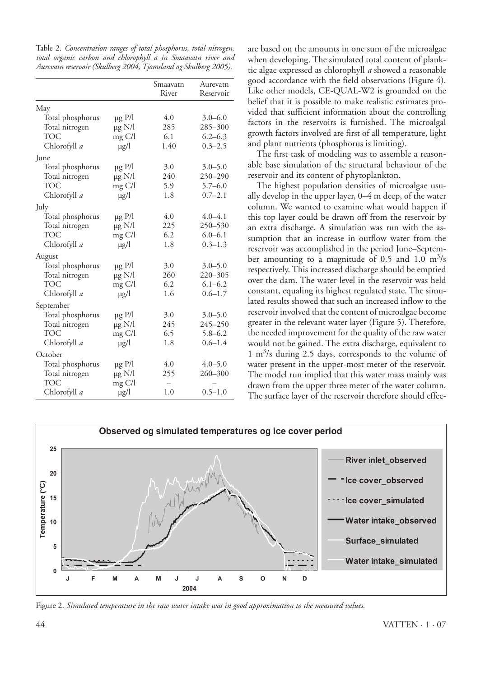Table 2. *Concentration ranges of total phosphorus, total nitrogen, total organic carbon and chlorophyll a in Smaavatn river and Aurevatn reservoir (Skulberg 2004, Tjomsland og Skulberg 2005).*

|                  |                  | Smaavatn<br>River | Aurevatn<br>Reservoir |
|------------------|------------------|-------------------|-----------------------|
| May              |                  |                   |                       |
| Total phosphorus | $\mu$ g P/l      | 4.0               | $3.0 - 6.0$           |
| Total nitrogen   | $\mu$ g N/l      | 285               | 285-300               |
| <b>TOC</b>       | mg C/l           | 6.1               | $6.2 - 6.3$           |
| Chlorofyll a     | $\mu$ g/l        | 1.40              | $0.3 - 2.5$           |
| June             |                  |                   |                       |
| Total phosphorus | $\mu$ g P/l      | 3.0               | $3.0 - 5.0$           |
| Total nitrogen   | $\mu$ g N/l      | 240               | 230-290               |
| TOC              | mg C/l           | 5.9               | $5.7 - 6.0$           |
| Chlorofyll a     | $\mu$ g/l        | 1.8               | $0.7 - 2.1$           |
| July             |                  |                   |                       |
| Total phosphorus | µg P/l           | 4.0               | $4.0 - 4.1$           |
| Total nitrogen   | $\mu$ g N/l      | 225               | 250-530               |
| <b>TOC</b>       | mg C/l           | 6.2               | $6.0 - 6.1$           |
| Chlorofyll a     | $\mu$ g/l        | 1.8               | $0.3 - 1.3$           |
| August           |                  |                   |                       |
| Total phosphorus | $\mu$ g P/l      | 3.0               | $3.0 - 5.0$           |
| Total nitrogen   | $\mu$ g N/l      | 260               | 220-305               |
| <b>TOC</b>       | mg C/l           | 6.2               | $6.1 - 6.2$           |
| Chlorofyll a     | $\mu$ g/l        | 1.6               | $0.6 - 1.7$           |
| September        |                  |                   |                       |
| Total phosphorus | $\mu$ g P/l      | 3.0               | $3.0 - 5.0$           |
| Total nitrogen   | $\mu$ g N/l      | 245               | 245-250               |
| <b>TOC</b>       | $mg \frac{C}{I}$ | 6.5               | $5.8 - 6.2$           |
| Chlorofyll a     | $\mu$ g/l        | 1.8               | $0.6 - 1.4$           |
| October          |                  |                   |                       |
| Total phosphorus | $\mu$ g P/l      | 4.0               | $4.0 - 5.0$           |
| Total nitrogen   | $\mu$ g N/l      | 255               | 260-300               |
| <b>TOC</b>       | $mg \text{C/l}$  |                   |                       |
| Chlorofyll a     | $\mu$ g/l        | 1.0               | $0.5 - 1.0$           |

are based on the amounts in one sum of the microalgae when developing. The simulated total content of planktic algae expressed as chlorophyll *a* showed a reasonable good accordance with the field observations (Figure 4). Like other models, CE-QUAL-W2 is grounded on the belief that it is possible to make realistic estimates provided that sufficient information about the controlling factors in the reservoirs is furnished. The microalgal growth factors involved are first of all temperature, light and plant nutrients (phosphorus is limiting).

The first task of modeling was to assemble a reasonable base simulation of the structural behaviour of the reservoir and its content of phytoplankton.

The highest population densities of microalgae usually develop in the upper layer, 0–4 m deep, of the water column. We wanted to examine what would happen if this top layer could be drawn off from the reservoir by an extra discharge. A simulation was run with the assumption that an increase in outflow water from the reservoir was accomplished in the period June–September amounting to a magnitude of 0.5 and 1.0  $\mathrm{m}^3/\mathrm{s}$ respectively. This increased discharge should be emptied over the dam. The water level in the reservoir was held constant, equaling its highest regulated state. The simulated results showed that such an increased inflow to the reservoir involved that the content of microalgae become greater in the relevant water layer (Figure 5). Therefore, the needed improvement for the quality of the raw water would not be gained. The extra discharge, equivalent to 1 m3 /s during 2.5 days, corresponds to the volume of water present in the upper-most meter of the reservoir. The model run implied that this water mass mainly was drawn from the upper three meter of the water column. The surface layer of the reservoir therefore should effec-



Figure 2. *Simulated temperature in the raw water intake was in good approximation to the measured values.*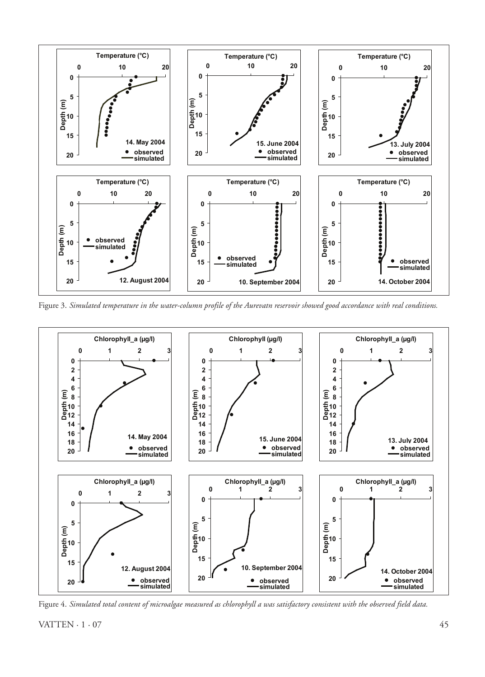

Figure 3. *Simulated temperature in the water-column profile of the Aurevatn reservoir showed good accordance with real conditions.*



Figure 4. *Simulated total content of microalgae measured as chlorophyll a was satisfactory consistent with the observed field data.*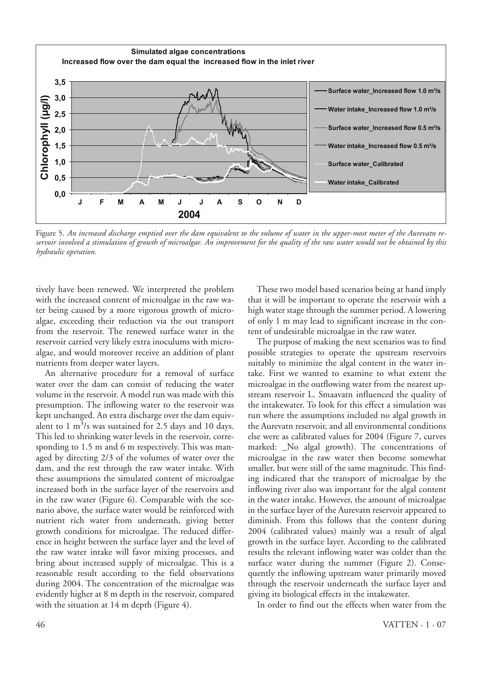

Figure 5. *An increased discharge emptied over the dam equivalent to the volume of water in the upper-most meter of the Aurevatn reservoir involved a stimulation of growth of microalgae. An improvement for the quality of the raw water would not be obtained by this hydraulic operation.*

tively have been renewed. We interpreted the problem with the increased content of microalgae in the raw water being caused by a more vigorous growth of microalgae, exceeding their reduction via the out transport from the reservoir. The renewed surface water in the reservoir carried very likely extra inoculums with microalgae, and would moreover receive an addition of plant nutrients from deeper water layers.

An alternative procedure for a removal of surface water over the dam can consist of reducing the water volume in the reservoir. A model run was made with this presumption. The inflowing water to the reservoir was kept unchanged. An extra discharge over the dam equivalent to 1  $\text{m}^3$ /s was sustained for 2.5 days and 10 days. This led to shrinking water levels in the reservoir, corresponding to 1.5 m and 6 m respectively. This was managed by directing 2/3 of the volumes of water over the dam, and the rest through the raw water intake. With these assumptions the simulated content of microalgae increased both in the surface layer of the reservoirs and in the raw water (Figure 6). Comparable with the scenario above, the surface water would be reinforced with nutrient rich water from underneath, giving better growth conditions for microalgae. The reduced difference in height between the surface layer and the level of the raw water intake will favor mixing processes, and bring about increased supply of microalgae. This is a reasonable result according to the field observations during 2004. The concentration of the microalgae was evidently higher at 8 m depth in the reservoir, compared with the situation at 14 m depth (Figure 4).

These two model based scenarios being at hand imply that it will be important to operate the reservoir with a high water stage through the summer period. A lowering of only 1 m may lead to significant increase in the content of undesirable microalgae in the raw water.

The purpose of making the next scenarios was to find possible strategies to operate the upstream reservoirs suitably to minimize the algal content in the water intake. First we wanted to examine to what extent the microalgae in the outflowing water from the nearest upstream reservoir L. Smaavatn influenced the quality of the intakewater. To look for this effect a simulation was run where the assumptions included no algal growth in the Aurevatn reservoir, and all environmental conditions else were as calibrated values for 2004 (Figure 7, curves marked: \_No algal growth). The concentrations of microalgae in the raw water then become somewhat smaller, but were still of the same magnitude. This finding indicated that the transport of microalgae by the inflowing river also was important for the algal content in the water intake. However, the amount of microalgae in the surface layer of the Aurevatn reservoir appeared to diminish. From this follows that the content during 2004 (calibrated values) mainly was a result of algal growth in the surface layer. According to the calibrated results the relevant inflowing water was colder than the surface water during the summer (Figure 2). Consequently the inflowing upstream water primarily moved through the reservoir underneath the surface layer and giving its biological effects in the intakewater.

In order to find out the effects when water from the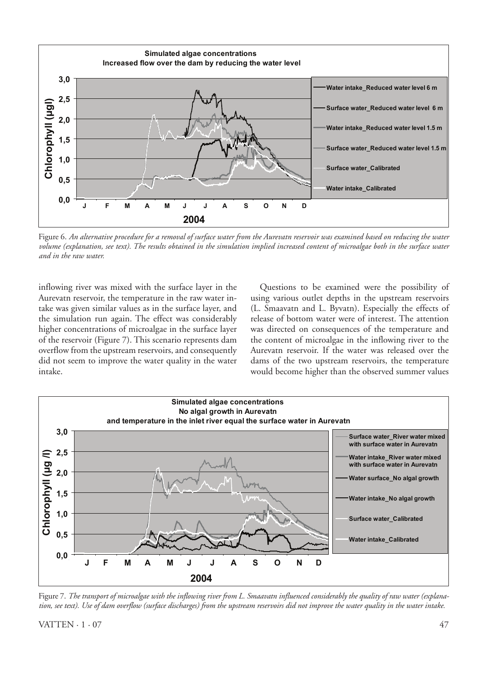

Figure 6. *An alternative procedure for a removal of surface water from the Aurevatn reservoir was examined based on reducing the water volume (explanation, see text). The results obtained in the simulation implied increased content of microalgae both in the surface water and in the raw water.*

inflowing river was mixed with the surface layer in the Aurevatn reservoir, the temperature in the raw water intake was given similar values as in the surface layer, and the simulation run again. The effect was considerably higher concentrations of microalgae in the surface layer of the reservoir (Figure 7). This scenario represents dam overflow from the upstream reservoirs, and consequently did not seem to improve the water quality in the water intake.

Questions to be examined were the possibility of using various outlet depths in the upstream reservoirs (L. Smaavatn and L. Byvatn). Especially the effects of release of bottom water were of interest. The attention was directed on consequences of the temperature and the content of microalgae in the inflowing river to the Aurevatn reservoir. If the water was released over the dams of the two upstream reservoirs, the temperature would become higher than the observed summer values



Figure 7. *The transport of microalgae with the inflowing river from L. Smaavatn influenced considerably the quality of raw water (explanation, see text). Use of dam overflow (surface discharges) from the upstream reservoirs did not improve the water quality in the water intake.*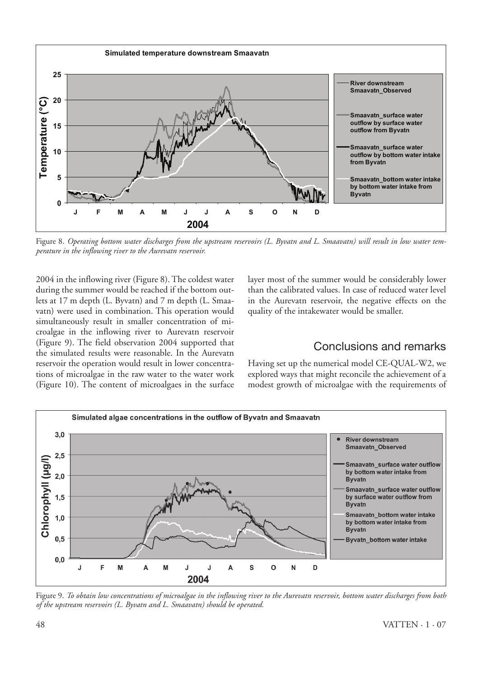

Figure 8. *Operating bottom water discharges from the upstream reservoirs (L. Byvatn and L. Smaavatn) will result in low water temperature in the inflowing river to the Aurevatn reservoir.*

2004 in the inflowing river (Figure 8). The coldest water during the summer would be reached if the bottom outlets at 17 m depth (L. Byvatn) and 7 m depth (L. Smaavatn) were used in combination. This operation would simultaneously result in smaller concentration of microalgae in the inflowing river to Aurevatn reservoir (Figure 9). The field observation 2004 supported that the simulated results were reasonable. In the Aurevatn reservoir the operation would result in lower concentrations of microalgae in the raw water to the water work (Figure 10). The content of microalgaes in the surface layer most of the summer would be considerably lower than the calibrated values. In case of reduced water level in the Aurevatn reservoir, the negative effects on the quality of the intakewater would be smaller.

## Conclusions and remarks

Having set up the numerical model CE-QUAL-W2, we explored ways that might reconcile the achievement of a modest growth of microalgae with the requirements of



Figure 9. *To obtain low concentrations of microalgae in the inflowing river to the Aurevatn reservoir, bottom water discharges from both of the upstream reservoirs (L. Byvatn and L. Smaavatn) should be operated.*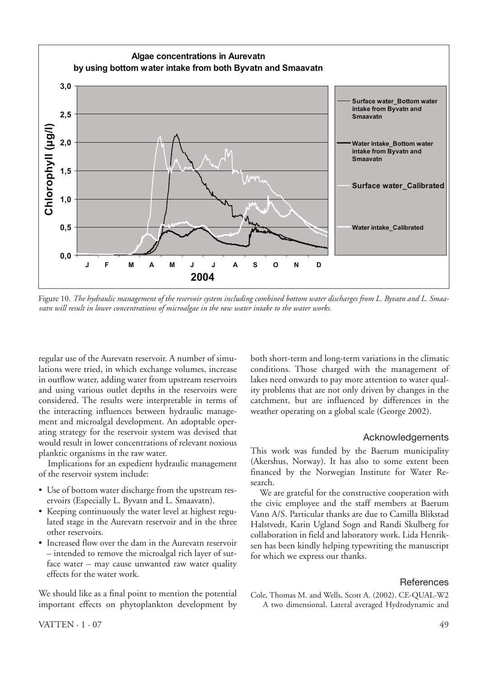

Figure 10. *The hydraulic management of the reservoir system including combined bottom water discharges from L. Byvatn and L. Smaavatn will result in lower concentrations of microalgae in the raw water intake to the water works.*

regular use of the Aurevatn reservoir. A number of simulations were tried, in which exchange volumes, increase in outflow water, adding water from upstream reservoirs and using various outlet depths in the reservoirs were considered. The results were interpretable in terms of the interacting influences between hydraulic management and microalgal development. An adoptable operating strategy for the reservoir system was devised that would result in lower concentrations of relevant noxious planktic organisms in the raw water.

Implications for an expedient hydraulic management of the reservoir system include:

- Use of bottom water discharge from the upstream reservoirs (Especially L. Byvatn and L. Smaavatn).
- Keeping continuously the water level at highest regulated stage in the Aurevatn reservoir and in the three other reservoirs.
- Increased flow over the dam in the Aurevatn reservoir – intended to remove the microalgal rich layer of surface water – may cause unwanted raw water quality effects for the water work.

We should like as a final point to mention the potential important effects on phytoplankton development by both short-term and long-term variations in the climatic conditions. Those charged with the management of lakes need onwards to pay more attention to water quality problems that are not only driven by changes in the catchment, but are influenced by differences in the weather operating on a global scale (George 2002).

### Acknowledgements

This work was funded by the Baerum municipality (Akershus, Norway). It has also to some extent been financed by the Norwegian Institute for Water Research.

We are grateful for the constructive cooperation with the civic employee and the staff members at Baerum Vann A/S. Particular thanks are due to Camilla Blikstad Halstvedt, Karin Ugland Sogn and Randi Skulberg for collaboration in field and laboratory work. Lida Henriksen has been kindly helping typewriting the manuscript for which we express our thanks.

#### **References**

Cole, Thomas M. and Wells, Scott A. (2002). CE-QUAL-W2 A two dimensional, Lateral averaged Hydrodynamic and

 $VATTEN \cdot 1 \cdot 07$  49